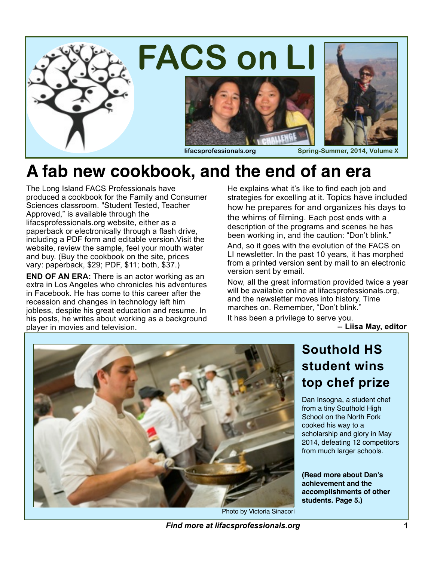

### **A fab new cookbook, and the end of an era**

The Long Island FACS Professionals have produced a cookbook for the Family and Consumer Sciences classroom. "Student Tested, Teacher Approved," is available through the lifacsprofessionals.org website, either as a paperback or electronically through a flash drive, including a PDF form and editable version.Visit the website, review the sample, feel your mouth water and buy. (Buy the cookbook on the site, prices vary: paperback, \$29; PDF, \$11; both, \$37.)

**END OF AN ERA:** There is an actor working as an extra in Los Angeles who chronicles his adventures in Facebook. He has come to this career after the recession and changes in technology left him jobless, despite his great education and resume. In his posts, he writes about working as a background player in movies and television.

He explains what it's like to find each job and strategies for excelling at it. Topics have included how he prepares for and organizes his days to the whims of filming. Each post ends with a description of the programs and scenes he has been working in, and the caution: "Don't blink."

And, so it goes with the evolution of the FACS on LI newsletter. In the past 10 years, it has morphed from a printed version sent by mail to an electronic version sent by email.

Now, all the great information provided twice a year will be available online at lifacsprofessionals.org, and the newsletter moves into history. Time marches on. Remember, "Don't blink."

It has been a privilege to serve you.

-- **Liisa May, editor**



Photo by Victoria Sinacori

# **student wins top chef prize**

Dan Insogna, a student chef from a tiny Southold High School on the North Fork cooked his way to a scholarship and glory in May 2014, defeating 12 competitors from much larger schools.

**(Read more about Dan's achievement and the accomplishments of other students. Page 5.)**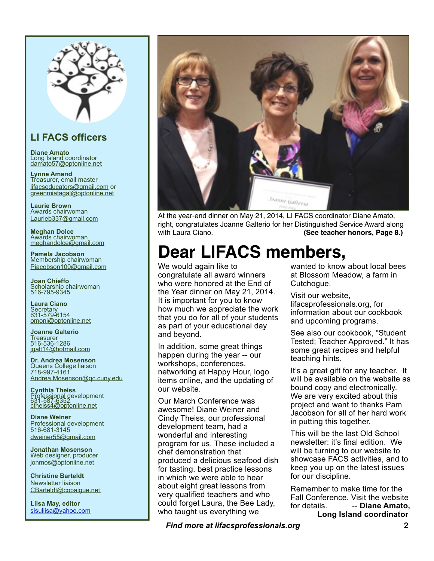

### **LI FACS officers**

**Diane Amato** Long Island coordinator [damato57@optonline.net](mailto:damato57@optonline.net)

**Lynne Amend** Treasurer, email master [lifacseducators@gmail.com](mailto:lifacseducators@gmail.com) or [greenmiatagal@optonline.net](mailto:greenmiatagal@optonline.net)

**Laurie Brown** Awards chairwoman [Laurieb337@gmail.com](mailto:Laurieb337@gmail.com)

**Meghan Dolce** Awards chairwoman [meghandolce@gmail.com](mailto:meghandolce@gmail.com)

**Pamela Jacobson** Membership chairwoman [Pjacobson100@gmail.com](mailto:Pjacobson100@gmail.com)

**Joan Chieffo** Scholarship chairwoman 516-795-9345

**Laura Ciano Secretary** 631-579-6154 [omoni@optonline.net](mailto:omoni@optonline.net)

**Joanne Galterio Treasurer** 516-536-1286 [jgalt14@hotmail.com](mailto:jgalt14@hotmail.com)

**Dr. Andrea Mosenson** [Queens College](http://www.lifacsprofessionals.org/membership/execboard.html) liaison 718-997-4161 [Andrea.Mosenson@qc.cuny.edu](mailto:Andrea.Mosenson@qc.cuny.edu)

**Cynthia Theiss** Professional development<br>631-587-6352<br><u>[ctheiss4@optonline.net](mailto:ctheiss4@optonline.net)</u>

**Diane Weiner** Professional development 516-681-3145 [dweiner55@gmail.com](mailto:dweiner@bethpage.ws)

**Jonathan Mosenson** Web designer, producer [jonmos@optonline.net](mailto:jonmos@optonline.net)

**Christine Barteldt** Newsletter liaison [CBarteldt@copaigue.net](mailto:CBarteldt@copaigue.net)

**Liisa May, editor** [sisuliisa@yahoo.com](mailto:sisuliisa@yahoo.com)



At the year-end dinner on May 21, 2014, LI FACS coordinator Diane Amato, right, congratulates Joanne Galterio for her Distinguished Service Award along with Laura Ciano. **(See teacher honors, Page 8.)** 

### **Dear LIFACS members,**

We would again like to congratulate all award winners who were honored at the End of the Year dinner on May 21, 2014. It is important for you to know how much we appreciate the work that you do for all of your students as part of your educational day and beyond.

In addition, some great things happen during the year -- our workshops, conferences, networking at Happy Hour, logo items online, and the updating of our website.

Our March Conference was awesome! Diane Weiner and Cindy Theiss, our professional development team, had a wonderful and interesting program for us. These included a chef demonstration that produced a delicious seafood dish for tasting, best practice lessons in which we were able to hear about eight great lessons from very qualified teachers and who could forget Laura, the Bee Lady, who taught us everything we

wanted to know about local bees at Blossom Meadow, a farm in Cutchogue.

Visit our website, lifacsprofessionals.org, for information about our cookbook and upcoming programs.

See also our cookbook, "Student Tested; Teacher Approved." It has some great recipes and helpful teaching hints.

It's a great gift for any teacher. It will be available on the website as bound copy and electronically. We are very excited about this project and want to thanks Pam Jacobson for all of her hard work in putting this together.

This will be the last Old School newsletter: it's final edition. We will be turning to our website to showcase FACS activities, and to keep you up on the latest issues for our discipline.

Remember to make time for the Fall Conference. Visit the website for details. -- **Diane Amato, Long Island coordinator**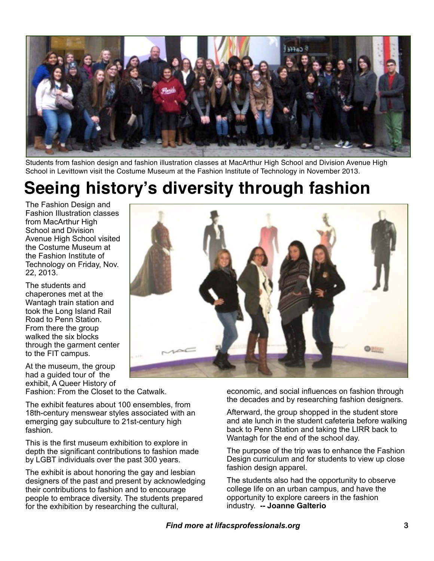

Students from fashion design and fashion illustration classes at MacArthur High School and Division Avenue High School in Levittown visit the Costume Museum at the Fashion Institute of Technology in November 2013.

### **Seeing history's diversity through fashion**

The Fashion Design and Fashion Illustration classes from MacArthur High School and Division Avenue High School visited the Costume Museum at the Fashion Institute of Technology on Friday, Nov. 22, 2013.

The students and chaperones met at the Wantagh train station and took the Long Island Rail Road to Penn Station. From there the group walked the six blocks through the garment center to the FIT campus.

At the museum, the group had a guided tour of the exhibit, A Queer History of

Fashion: From the Closet to the Catwalk.

The exhibit features about 100 ensembles, from 18th-century menswear styles associated with an emerging gay subculture to 21st-century high fashion.

This is the first museum exhibition to explore in depth the significant contributions to fashion made by LGBT individuals over the past 300 years.

The exhibit is about honoring the gay and lesbian designers of the past and present by acknowledging their contributions to fashion and to encourage people to embrace diversity. The students prepared for the exhibition by researching the cultural,



economic, and social influences on fashion through the decades and by researching fashion designers.

Afterward, the group shopped in the student store and ate lunch in the student cafeteria before walking back to Penn Station and taking the LIRR back to Wantagh for the end of the school day.

The purpose of the trip was to enhance the Fashion Design curriculum and for students to view up close fashion design apparel.

The students also had the opportunity to observe college life on an urban campus, and have the opportunity to explore careers in the fashion industry. **-- Joanne Galterio**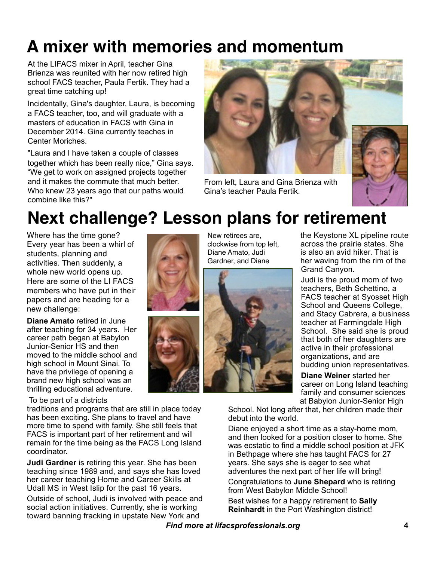# **A mixer with memories and momentum**

At the LIFACS mixer in April, teacher Gina Brienza was reunited with her now retired high school FACS teacher, Paula Fertik. They had a great time catching up!

Incidentally, Gina's daughter, Laura, is becoming a FACS teacher, too, and will graduate with a masters of education in FACS with Gina in December 2014. Gina currently teaches in Center Moriches.

"Laura and I have taken a couple of classes together which has been really nice," Gina says. "We get to work on assigned projects together and it makes the commute that much better. Who knew 23 years ago that our paths would combine like this?"



From left, Laura and Gina Brienza with Gina's teacher Paula Fertik.



### **Next challenge? Lesson plans for retirement**

Where has the time gone? Every year has been a whirl of students, planning and activities. Then suddenly, a whole new world opens up. Here are some of the LI FACS members who have put in their papers and are heading for a new challenge:

**Diane Amato** retired in June after teaching for 34 years. Her career path began at Babylon Junior-Senior HS and then moved to the middle school and high school in Mount Sinai. To have the privilege of opening a brand new high school was an thrilling educational adventure.

#### To be part of a districts

traditions and programs that are still in place today has been exciting. She plans to travel and have more time to spend with family. She still feels that FACS is important part of her retirement and will remain for the time being as the FACS Long Island coordinator.

**Judi Gardner** is retiring this year. She has been teaching since 1989 and, and says she has loved her career teaching Home and Career Skills at Udall MS in West Islip for the past 16 years.

Outside of school, Judi is involved with peace and social action initiatives. Currently, she is working toward banning fracking in upstate New York and





New retirees are, clockwise from top left, Diane Amato, Judi Gardner, and Diane



the Keystone XL pipeline route across the prairie states. She is also an avid hiker. That is her waving from the rim of the Grand Canyon.

Judi is the proud mom of two teachers, Beth Schettino, a FACS teacher at Syosset High School and Queens College, and Stacy Cabrera, a business teacher at Farmingdale High School. She said she is proud that both of her daughters are active in their professional organizations, and are budding union representatives.

**Diane Weiner** started her career on Long Island teaching family and consumer sciences at Babylon Junior-Senior High

School. Not long after that, her children made their debut into the world.

Diane enjoyed a short time as a stay-home mom, and then looked for a position closer to home. She was ecstatic to find a middle school position at JFK in Bethpage where she has taught FACS for 27 years. She says she is eager to see what adventures the next part of her life will bring!

Congratulations to **June Shepard** who is retiring from West Babylon Middle School!

Best wishes for a happy retirement to **Sally Reinhardt** in the Port Washington district!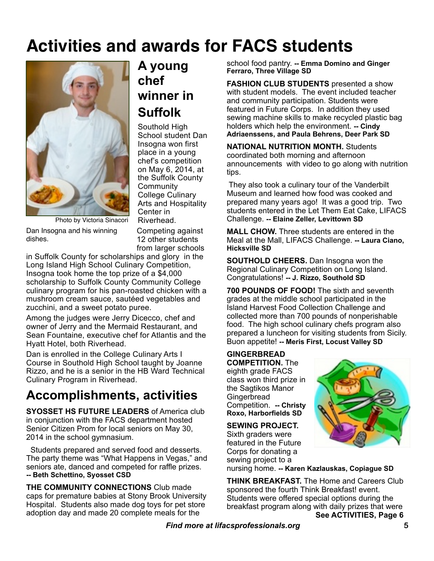### **Activities and awards for FACS students**



### **A young chef winner in Suffolk**

Southold High School student Dan Insogna won first place in a young chef's competition on May 6, 2014, at the Suffolk County **Community** College Culinary Arts and Hospitality Center in Riverhead.

Dan Insogna and his winning Photo by Victoria Sinacori

dishes.

Competing against 12 other students from larger schools

in Suffolk County for scholarships and glory in the Long Island High School Culinary Competition, Insogna took home the top prize of a \$4,000 scholarship to Suffolk County Community College culinary program for his pan-roasted chicken with a mushroom cream sauce, sautéed vegetables and zucchini, and a sweet potato puree.

Among the judges were Jerry Dicecco, chef and owner of Jerry and the Mermaid Restaurant, and Sean Fountaine, executive chef for Atlantis and the Hyatt Hotel, both Riverhead.

Dan is enrolled in the College Culinary Arts I Course in Southold High School taught by Joanne Rizzo, and he is a senior in the HB Ward Technical Culinary Program in Riverhead.

### **Accomplishments, activities**

**SYOSSET HS FUTURE LEADERS** of America club in conjunction with the FACS department hosted Senior Citizen Prom for local seniors on May 30, 2014 in the school gymnasium.

 Students prepared and served food and desserts. The party theme was "What Happens in Vegas," and seniors ate, danced and competed for raffle prizes. **-- Beth Schettino, Syosset CSD**

**THE COMMUNITY CONNECTIONS** Club made caps for premature babies at Stony Brook University Hospital. Students also made dog toys for pet store adoption day and made 20 complete meals for the

school food pantry. **-- Emma Domino and Ginger Ferraro, Three Village SD**

**FASHION CLUB STUDENTS** presented a show with student models. The event included teacher and community participation. Students were featured in Future Corps. In addition they used sewing machine skills to make recycled plastic bag holders which help the environment. **-- Cindy Adriaenssens, and Paula Behrens, Deer Park SD**

**NATIONAL NUTRITION MONTH.** Students coordinated both morning and afternoon announcements with video to go along with nutrition tips.

 They also took a culinary tour of the Vanderbilt Museum and learned how food was cooked and prepared many years ago! It was a good trip. Two students entered in the Let Them Eat Cake, LIFACS Challenge. **-- Elaine Zeller, Levittown SD**

**MALL CHOW.** Three students are entered in the Meal at the Mall, LIFACS Challenge. **-- Laura Ciano, Hicksville SD**

**SOUTHOLD CHEERS.** Dan Insogna won the Regional Culinary Competition on Long Island. Congratulations! **-- J. Rizzo, Southold SD**

**700 POUNDS OF FOOD!** The sixth and seventh grades at the middle school participated in the Island Harvest Food Collection Challenge and collected more than 700 pounds of nonperishable food. The high school culinary chefs program also prepared a luncheon for visiting students from Sicily. Buon appetite! **-- Meris First, Locust Valley SD**

**GINGERBREAD COMPETITION.** The eighth grade FACS class won third prize in the Sagtikos Manor **Gingerbread** Competition. **-- Christy Roxo, Harborfields SD**

**SEWING PROJECT.** Sixth graders were featured in the Future Corps for donating a sewing project to a

nursing home. **-- Karen Kazlauskas, Copiague SD**

**THINK BREAKFAST.** The Home and Careers Club sponsored the fourth Think Breakfast! event. Students were offered special options during the breakfast program along with daily prizes that were **See ACTIVITIES, Page 6**

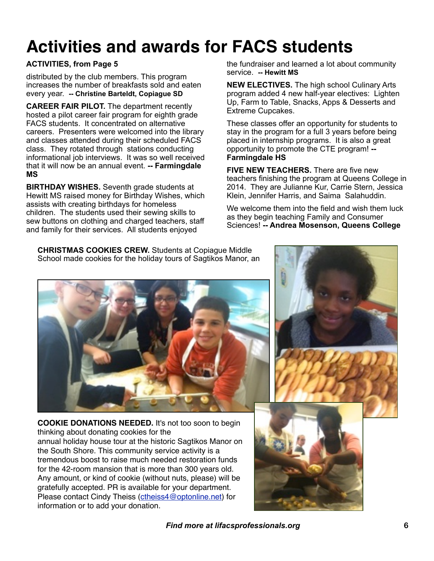## **Activities and awards for FACS students**

#### **ACTIVITIES, from Page 5**

distributed by the club members. This program increases the number of breakfasts sold and eaten every year. **-- Christine Barteldt, Copiague SD**

**CAREER FAIR PILOT.** The department recently hosted a pilot career fair program for eighth grade FACS students. It concentrated on alternative careers. Presenters were welcomed into the library and classes attended during their scheduled FACS class. They rotated through stations conducting informational job interviews. It was so well received that it will now be an annual event. **-- Farmingdale MS**

**BIRTHDAY WISHES.** Seventh grade students at Hewitt MS raised money for Birthday Wishes, which assists with creating birthdays for homeless children. The students used their sewing skills to sew buttons on clothing and charged teachers, staff and family for their services. All students enjoyed

the fundraiser and learned a lot about community service. **-- Hewitt MS**

**NEW ELECTIVES.** The high school Culinary Arts program added 4 new half-year electives: Lighten Up, Farm to Table, Snacks, Apps & Desserts and Extreme Cupcakes.

These classes offer an opportunity for students to stay in the program for a full 3 years before being placed in internship programs. It is also a great opportunity to promote the CTE program! **-- Farmingdale HS**

**FIVE NEW TEACHERS.** There are five new teachers finishing the program at Queens College in 2014. They are Julianne Kur, Carrie Stern, Jessica Klein, Jennifer Harris, and Saima Salahuddin.

We welcome them into the field and wish them luck as they begin teaching Family and Consumer Sciences! **-- Andrea Mosenson, Queens College**

**CHRISTMAS COOKIES CREW.** Students at Copiague Middle School made cookies for the holiday tours of Sagtikos Manor, an



**COOKIE DONATIONS NEEDED.** It's not too soon to begin thinking about donating cookies for the annual holiday house tour at the historic Sagtikos Manor on the South Shore. This community service activity is a tremendous boost to raise much needed restoration funds for the 42-room mansion that is more than 300 years old. Any amount, or kind of cookie (without nuts, please) will be gratefully accepted. PR is available for your department. Please contact Cindy Theiss [\(ctheiss4@optonline.net\)](mailto:ctheiss4@optonline.net) for information or to add your donation.

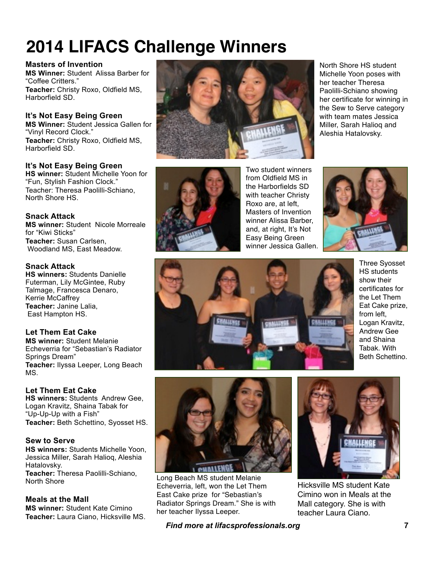## **2014 LIFACS Challenge Winners**

#### **Masters of Invention**

**MS Winner:** Student Alissa Barber for "Coffee Critters." **Teacher:** Christy Roxo, Oldfield MS, Harborfield SD.

**It's Not Easy Being Green MS Winner:** Student Jessica Gallen for "Vinyl Record Clock." **Teacher:** Christy Roxo, Oldfield MS, Harborfield SD.

#### **It's Not Easy Being Green**

**HS winner:** Student Michelle Yoon for "Fun, Stylish Fashion Clock." Teacher: Theresa Paolilli-Schiano, North Shore HS.

#### **Snack Attack**

**MS winner:** Student Nicole Morreale for "Kiwi Sticks" **Teacher:** Susan Carlsen, Woodland MS, East Meadow.

#### **Snack Attack**

**HS winners:** Students Danielle Futerman, Lily McGintee, Ruby Talmage, Francesca Denaro, Kerrie McCaffrey **Teacher:** Janine Lalia, East Hampton HS.

#### **Let Them Eat Cake**

**MS winner:** Student Melanie Echeverria for "Sebastian's Radiator Springs Dream" **Teacher:** Ilyssa Leeper, Long Beach MS.

#### **Let Them Eat Cake**

**HS winners:** Students Andrew Gee, Logan Kravitz, Shaina Tabak for "Up-Up-Up with a Fish" **Teacher:** Beth Schettino, Syosset HS.

#### **Sew to Serve**

**HS winners:** Students Michelle Yoon, Jessica Miller, Sarah Halioq, Aleshia Hatalovsky. **Teacher:** Theresa Paolilli-Schiano, North Shore

**Meals at the Mall MS winner:** Student Kate Cimino **Teacher:** Laura Ciano, Hicksville MS.



Two student winners from Oldfield MS in the Harborfields SD with teacher Christy Roxo are, at left, Masters of Invention winner Alissa Barber, and, at right, It's Not Easy Being Green winner Jessica Gallen.



North Shore HS student Michelle Yoon poses with her teacher Theresa Paolilli-Schiano showing her certificate for winning in the Sew to Serve category with team mates Jessica Miller, Sarah Halioq and Aleshia Hatalovsky.



Three Syosset HS students show their certificates for the Let Them Eat Cake prize, from left, Logan Kravitz, Andrew Gee and Shaina Tabak. With Beth Schettino.



Long Beach MS student Melanie Echeverria, left, won the Let Them East Cake prize for "Sebastian's Radiator Springs Dream." She is with her teacher Ilyssa Leeper.



Hicksville MS student Kate Cimino won in Meals at the Mall category. She is with teacher Laura Ciano.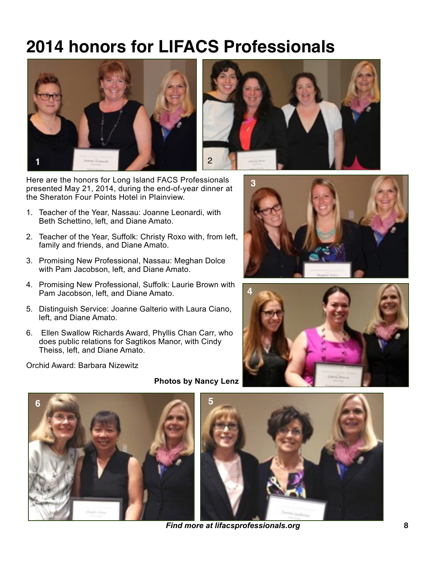### **2014 honors for LIFACS Professionals**



Here are the honors for Long Island FACS Professionals presented May 21, 2014, during the end-of-year dinner at the Sheraton Four Points Hotel in Plainview.

- 1. Teacher of the Year, Nassau: Joanne Leonardi, with Beth Schettino, left, and Diane Amato.
- 2. Teacher of the Year, Suffolk: Christy Roxo with, from left, family and friends, and Diane Amato.
- 3. Promising New Professional, Nassau: Meghan Dolce with Pam Jacobson, left, and Diane Amato.
- 4. Promising New Professional, Suffolk: Laurie Brown with Pam Jacobson, left, and Diane Amato.
- 5. Distinguish Service: Joanne Galterio with Laura Ciano, left, and Diane Amato.
- 6. Ellen Swallow Richards Award, Phyllis Chan Carr, who does public relations for Sagtikos Manor, with Cindy Theiss, left, and Diane Amato.

Orchid Award: Barbara Nizewitz









*Find more at lifacsprofessionals.org* **8**